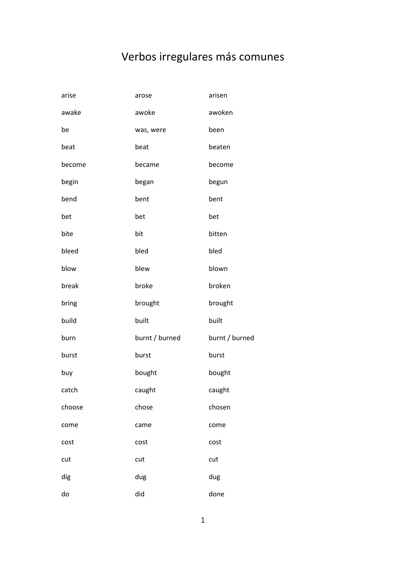## Verbos irregulares más comunes

| arise  | arose          | arisen         |
|--------|----------------|----------------|
| awake  | awoke          | awoken         |
| be     | was, were      | been           |
| beat   | beat           | beaten         |
| become | became         | become         |
| begin  | began          | begun          |
| bend   | bent           | bent           |
| bet    | bet            | bet            |
| bite   | bit            | bitten         |
| bleed  | bled           | bled           |
| blow   | blew           | blown          |
| break  | broke          | broken         |
| bring  | brought        | brought        |
| build  | built          | built          |
| burn   | burnt / burned | burnt / burned |
| burst  | burst          | burst          |
| buy    | bought         | bought         |
| catch  | caught         | caught         |
| choose | chose          | chosen         |
| come   | came           | come           |
| cost   | cost           | cost           |
| cut    | cut            | cut            |
| dig    | dug            | dug            |
| do     | did            | done           |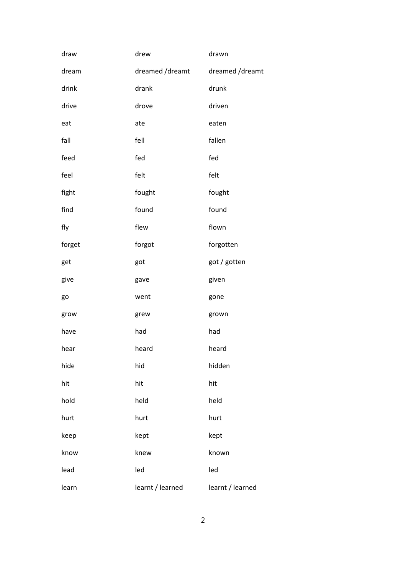| draw   | drew             | drawn            |
|--------|------------------|------------------|
| dream  | dreamed /dreamt  | dreamed /dreamt  |
| drink  | drank            | drunk            |
| drive  | drove            | driven           |
| eat    | ate              | eaten            |
| fall   | fell             | fallen           |
| feed   | fed              | fed              |
| feel   | felt             | felt             |
| fight  | fought           | fought           |
| find   | found            | found            |
| fly    | flew             | flown            |
| forget | forgot           | forgotten        |
| get    | got              | got / gotten     |
| give   | gave             | given            |
| go     | went             | gone             |
| grow   | grew             | grown            |
| have   | had              | had              |
| hear   | heard            | heard            |
| hide   | hid              | hidden           |
| hit    | hit              | hit              |
| hold   | held             | held             |
| hurt   | hurt             | hurt             |
| keep   | kept             | kept             |
| know   | knew             | known            |
| lead   | led              | led              |
| learn  | learnt / learned | learnt / learned |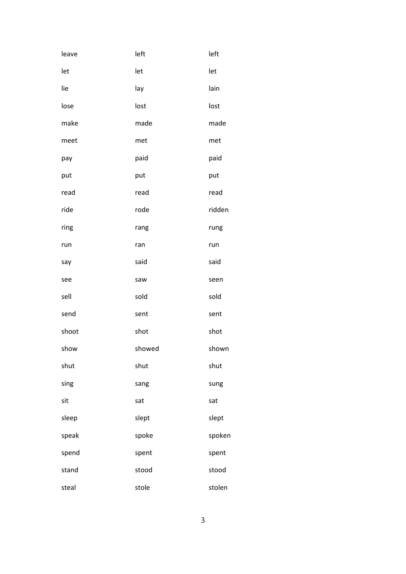| leave | left   | left   |
|-------|--------|--------|
| let   | let    | let    |
| lie   | lay    | lain   |
| lose  | lost   | lost   |
| make  | made   | made   |
| meet  | met    | met    |
| pay   | paid   | paid   |
| put   | put    | put    |
| read  | read   | read   |
| ride  | rode   | ridden |
| ring  | rang   | rung   |
| run   | ran    | run    |
| say   | said   | said   |
| see   | saw    | seen   |
| sell  | sold   | sold   |
| send  | sent   | sent   |
| shoot | shot   | shot   |
| show  | showed | shown  |
| shut  | shut   | shut   |
| sing  | sang   | sung   |
| sit   | sat    | sat    |
| sleep | slept  | slept  |
| speak | spoke  | spoken |
| spend | spent  | spent  |
| stand | stood  | stood  |
| steal | stole  | stolen |